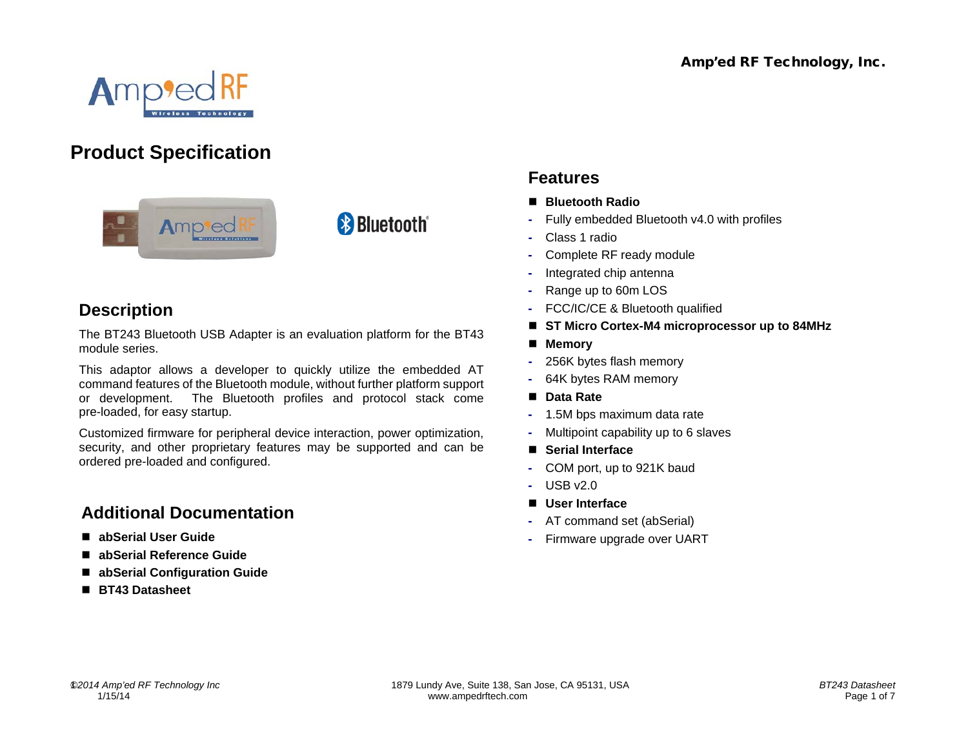

# **Product Specification**



# **Description**

The BT243 Bluetooth USB Adapter is an evaluation platform for the BT43 module series.

**& Bluetooth**®

This adaptor allows a developer to quickly utilize the embedded AT command features of the Bluetooth module, without further platform support or development. The Bluetooth profiles and protocol stack come pre-loaded, for easy startup.

Customized firmware for peripheral device interaction, power optimization, security, and other proprietary features may be supported and can be ordered pre-loaded and configured.

# **Additional Documentation**

- **abSerial User Guide**
- **abSerial Reference Guide**
- **abSerial Configuration Guide**
- **BT43 Datasheet**

# **Features**

- **Bluetooth Radio**
- **-** Fully embedded Bluetooth v4.0 with profiles
- **-** Class 1 radio
- **-** Complete RF ready module
- **-** Integrated chip antenna
- **-** Range up to 60m LOS
- **-** FCC/IC/CE & Bluetooth qualified
- ST Micro Cortex-M4 microprocessor up to 84MHz
- **Memory**
- **-** 256K bytes flash memory
- **-** 64K bytes RAM memory
- Data Rate
- **-** 1.5M bps maximum data rate
- **-** Multipoint capability up to 6 slaves
- **Serial Interface**
- **-** COM port, up to 921K baud
- **-** USB v2.0
- **User Interface**
- **-** AT command set (abSerial)
- **-** Firmware upgrade over UART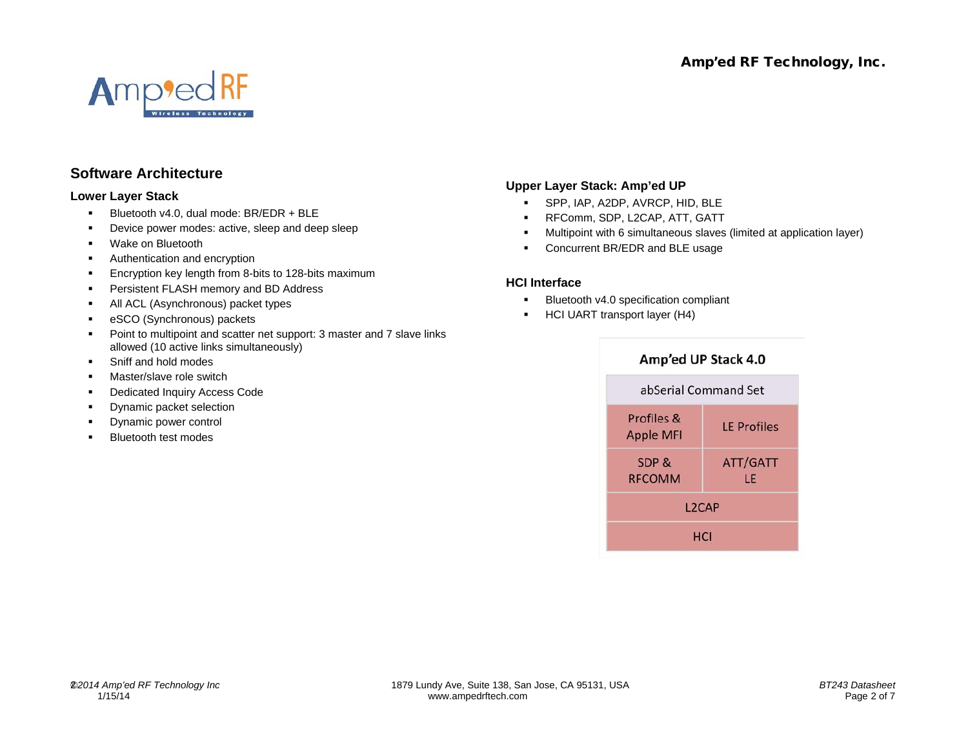

### **Software Architecture**

#### **Lower Layer Stack**

- Bluetooth v4.0, dual mode: BR/EDR + BLE
- Device power modes: active, sleep and deep sleep
- **•** Wake on Bluetooth
- Authentication and encryption
- **Encryption key length from 8-bits to 128-bits maximum**
- **Persistent FLASH memory and BD Address**
- All ACL (Asynchronous) packet types
- **EXCO (Synchronous) packets**
- Point to multipoint and scatter net support: 3 master and 7 slave links allowed (10 active links simultaneously)
- Sniff and hold modes
- Master/slave role switch
- Dedicated Inquiry Access Code
- Dynamic packet selection
- Dynamic power control
- Bluetooth test modes

#### **Upper Layer Stack: Amp'ed UP**

- SPP, IAP, A2DP, AVRCP, HID, BLE
- **RFComm, SDP, L2CAP, ATT, GATT**
- Multipoint with 6 simultaneous slaves (limited at application layer)
- Concurrent BR/EDR and BLE usage

#### **HCI Interface**

- **Bluetooth v4.0 specification compliant**
- **HCI UART transport layer (H4)**

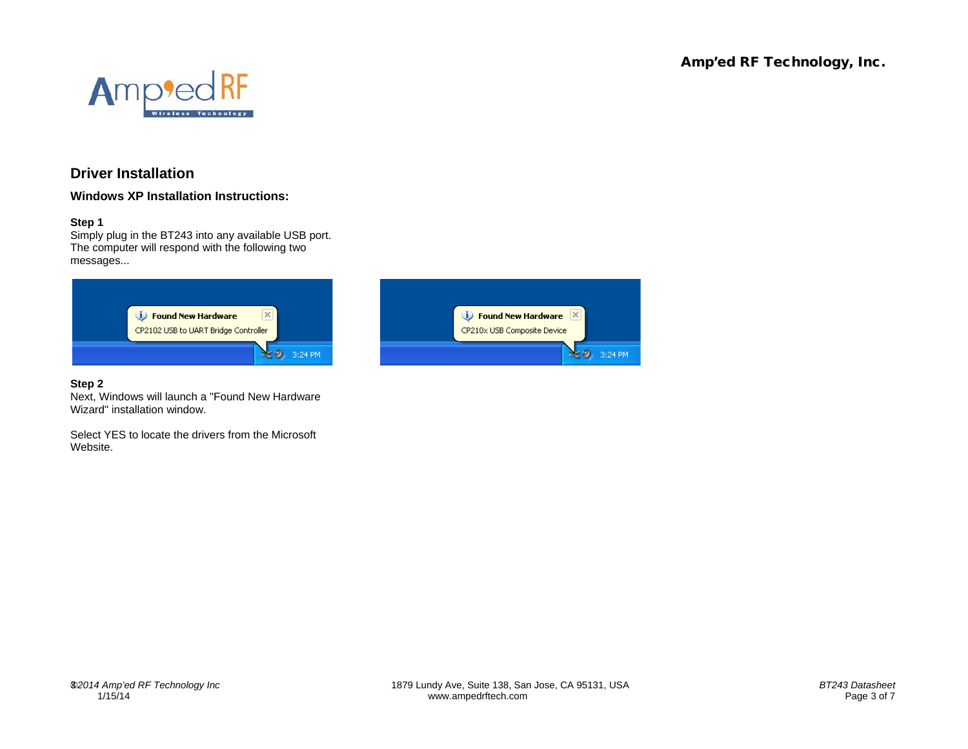

## **Driver Installation**

**Windows XP Installation Instructions:**

#### **Step 1**

Simply plug in the BT243 into any available USB port. The computer will respond with the following two messages...



#### **Step 2**

Next, Windows will launch a "Found New Hardware Wizard" installation window.

Select YES to locate the drivers from the Microsoft Website.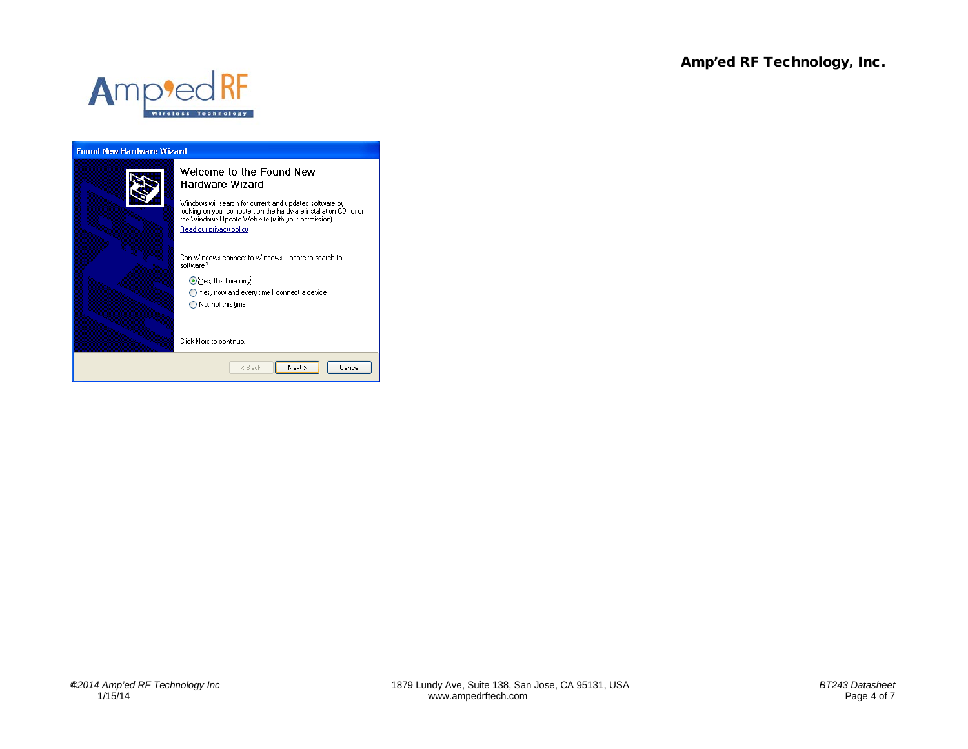

### **Found New Hardware Wizard** Welcome to the Found New Hardware Wizard Windows will search for current and updated software by<br>looking on your computer, on the hardware installation CD, or on<br>the Windows Update Web site (with your permission). Read our privacy policy Can Windows connect to Windows Update to search for software? ⊙Yes, this time only ◯ Yes, now and gvery time I connect a device  $\bigcirc$  No, not this time Click Next to continue.  $\leq$  8 ack  $N$ ext > Cancel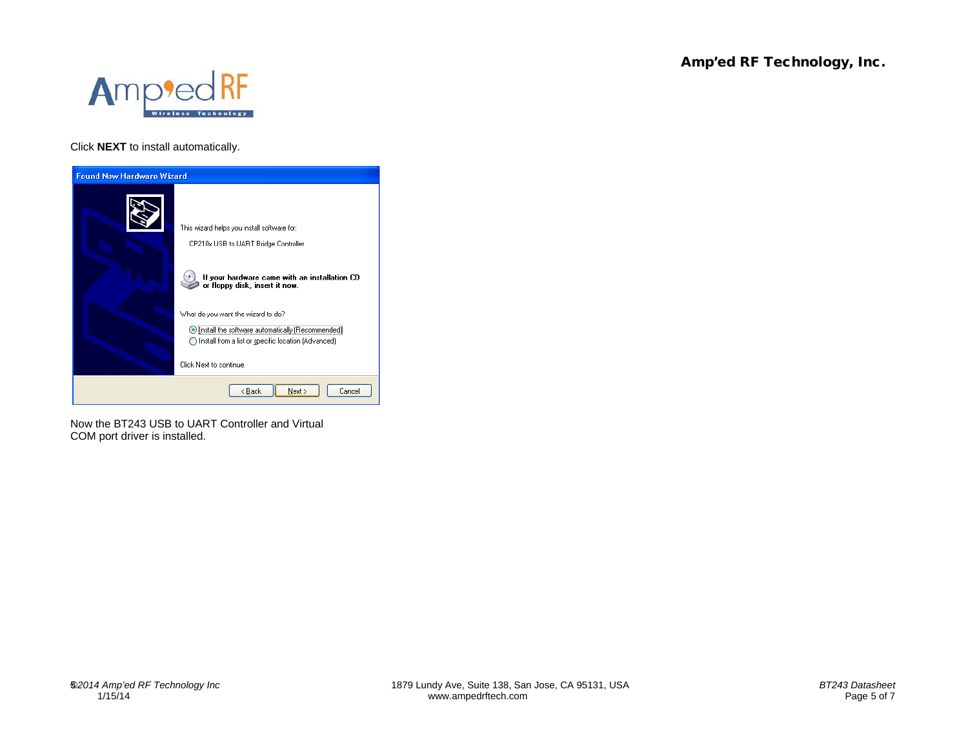

Click **NEXT** to install automatically.



Now the BT243 USB to UART Controller and Virtual COM port driver is installed.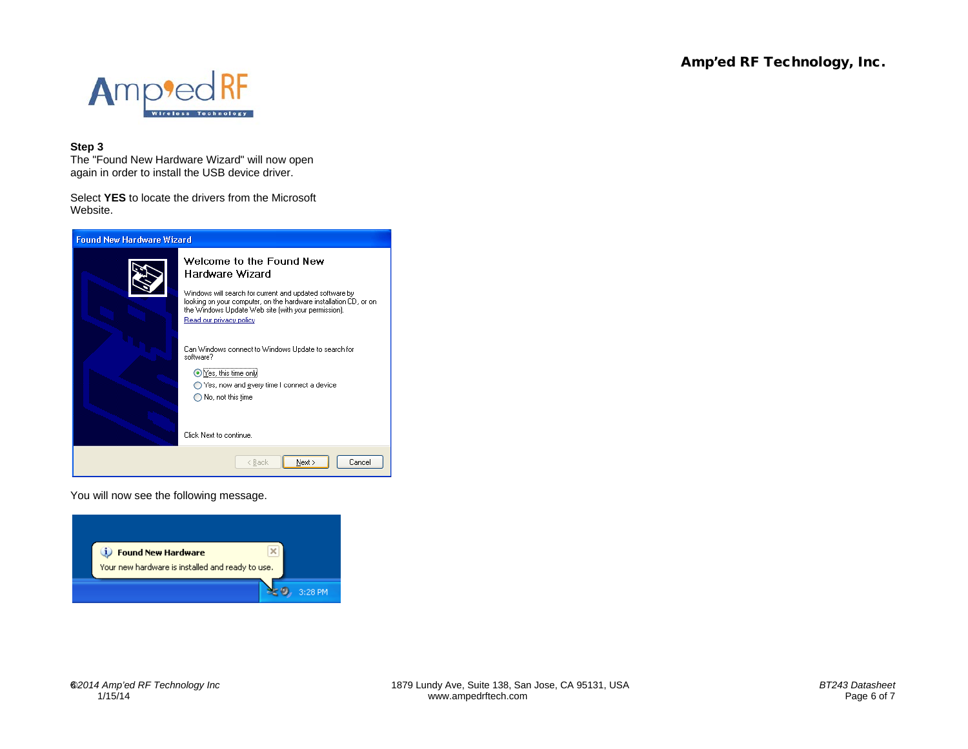

#### **Step 3**

The "Found New Hardware Wizard" will now open again in order to install the USB device driver.

Select **YES** to locate the drivers from the Microsoft Website.



You will now see the following message.